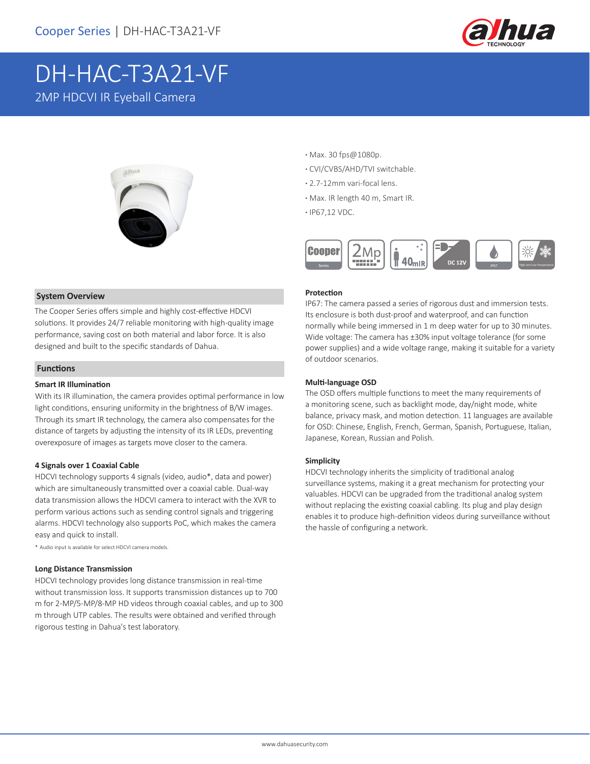

# DH-HAC-T3A21-VF 2MP HDCVI IR Eyeball Camera



- **·** Max. 30 fps@1080p.
- **·** CVI/CVBS/AHD/TVI switchable.
- **·** 2.7-12mm vari-focal lens.
- **·** Max. IR length 40 m, Smart IR.
- **·** IP67,12 VDC.



#### **System Overview**

The Cooper Series offers simple and highly cost-effective HDCVI solutions. It provides 24/7 reliable monitoring with high-quality image performance, saving cost on both material and labor force. It is also designed and built to the specific standards of Dahua.

#### **Functions**

#### **Smart IR Illumination**

With its IR illumination, the camera provides optimal performance in low light conditions, ensuring uniformity in the brightness of B/W images. Through its smart IR technology, the camera also compensates for the distance of targets by adjusting the intensity of its IR LEDs, preventing overexposure of images as targets move closer to the camera.

#### **4 Signals over 1 Coaxial Cable**

HDCVI technology supports 4 signals (video, audio\*, data and power) which are simultaneously transmitted over a coaxial cable. Dual-way data transmission allows the HDCVI camera to interact with the XVR to perform various actions such as sending control signals and triggering alarms. HDCVI technology also supports PoC, which makes the camera easy and quick to install.

\* Audio input is available for select HDCVI camera models.

#### **Long Distance Transmission**

HDCVI technology provides long distance transmission in real-time without transmission loss. It supports transmission distances up to 700 m for 2-MP/5-MP/8-MP HD videos through coaxial cables, and up to 300 m through UTP cables. The results were obtained and verified through rigorous testing in Dahua's test laboratory.

#### **Protection**

IP67: The camera passed a series of rigorous dust and immersion tests. Its enclosure is both dust-proof and waterproof, and can function normally while being immersed in 1 m deep water for up to 30 minutes. Wide voltage: The camera has ±30% input voltage tolerance (for some power supplies) and a wide voltage range, making it suitable for a variety of outdoor scenarios.

#### **Multi-language OSD**

The OSD offers multiple functions to meet the many requirements of a monitoring scene, such as backlight mode, day/night mode, white balance, privacy mask, and motion detection. 11 languages are available for OSD: Chinese, English, French, German, Spanish, Portuguese, Italian, Japanese, Korean, Russian and Polish.

#### **Simplicity**

HDCVI technology inherits the simplicity of traditional analog surveillance systems, making it a great mechanism for protecting your valuables. HDCVI can be upgraded from the traditional analog system without replacing the existing coaxial cabling. Its plug and play design enables it to produce high-definition videos during surveillance without the hassle of configuring a network.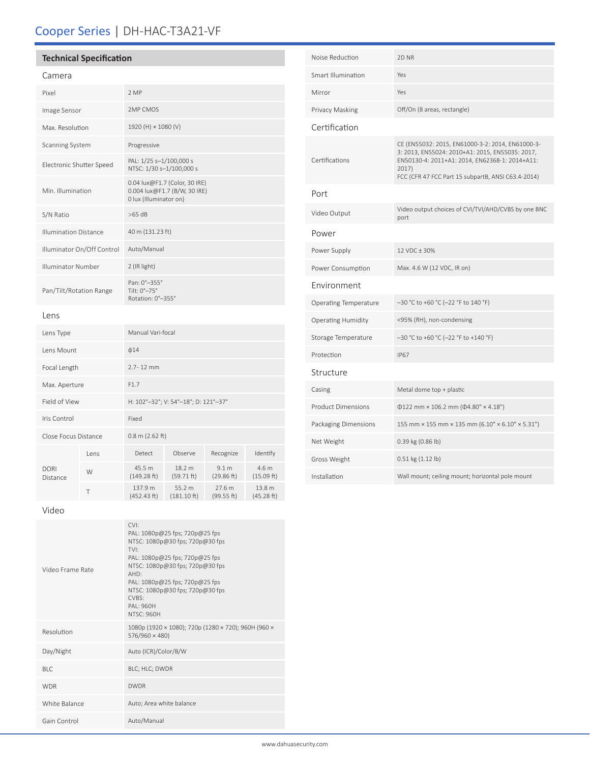## Cooper Series | DH-HAC-T3A21-VF

### **Technical Specification**

### Camera

| Pixel                        |      | 2 MP                                                                                    |                                 |                                |                      |
|------------------------------|------|-----------------------------------------------------------------------------------------|---------------------------------|--------------------------------|----------------------|
| Image Sensor                 |      | 2MP CMOS                                                                                |                                 |                                |                      |
| Max. Resolution              |      | 1920 (H) × 1080 (V)                                                                     |                                 |                                |                      |
| Scanning System              |      | Progressive                                                                             |                                 |                                |                      |
| Electronic Shutter Speed     |      | PAL: 1/25 s-1/100,000 s<br>NTSC: 1/30 s-1/100,000 s                                     |                                 |                                |                      |
| Min. Illumination            |      | 0.04 lux@F1.7 (Color, 30 IRE)<br>0.004 lux@F1.7 (B/W, 30 IRE)<br>0 lux (Illuminator on) |                                 |                                |                      |
| S/N Ratio                    |      | $>65$ dB                                                                                |                                 |                                |                      |
| <b>Illumination Distance</b> |      | 40 m (131.23 ft)                                                                        |                                 |                                |                      |
| Illuminator On/Off Control   |      | Auto/Manual                                                                             |                                 |                                |                      |
| Illuminator Number           |      | 2 (IR light)                                                                            |                                 |                                |                      |
| Pan/Tilt/Rotation Range      |      | Pan: 0°-355°<br>Tilt: 0°-75°<br>Rotation: 0°-355°                                       |                                 |                                |                      |
| Lens                         |      |                                                                                         |                                 |                                |                      |
| Lens Type                    |      | Manual Vari-focal                                                                       |                                 |                                |                      |
| Lens Mount                   |      | $\phi$ 14                                                                               |                                 |                                |                      |
| Focal Length                 |      | 2.7-12 mm                                                                               |                                 |                                |                      |
| Max. Aperture                |      | F1.7                                                                                    |                                 |                                |                      |
| Field of View                |      | H: 102°-32°; V: 54°-18°; D: 121°-37°                                                    |                                 |                                |                      |
| Iris Control                 |      | Fixed                                                                                   |                                 |                                |                      |
| Close Focus Distance         |      | $0.8$ m (2.62 ft)                                                                       |                                 |                                |                      |
| DORI<br>Distance             | Lens | Detect                                                                                  | Observe                         | Recognize                      | Identify             |
|                              | W    | 45.5 m<br>(149.28 ft)                                                                   | 18.2 m<br>(59.71 ft)            | 9.1 <sub>m</sub><br>(29.86 ft) | 4.6 m<br>(15.09 ft)  |
|                              | T    | 137.9 m<br>(452.43 ft)                                                                  | 55.2 m<br>$(181.10 \text{ ft})$ | 27.6 m<br>(99.55 ft)           | 13.8 m<br>(45.28 ft) |

Video

| Video Frame Rate | $\cap$<br>PAL: 1080p@25 fps; 720p@25 fps<br>NTSC: 1080p@30 fps; 720p@30 fps<br>TVI:<br>PAL: 1080p@25 fps; 720p@25 fps<br>NTSC: 1080p@30 fps; 720p@30 fps<br>AHD:<br>PAL: 1080p@25 fps; 720p@25 fps<br>NTSC: 1080p@30 fps; 720p@30 fps<br>CVRS<br>PAI: 960H<br><b>NTSC: 960H</b> |  |
|------------------|---------------------------------------------------------------------------------------------------------------------------------------------------------------------------------------------------------------------------------------------------------------------------------|--|
| Resolution       | 1080p (1920 × 1080); 720p (1280 × 720); 960H (960 ×<br>$576/960 \times 480$                                                                                                                                                                                                     |  |
| Day/Night        | Auto (ICR)/Color/B/W                                                                                                                                                                                                                                                            |  |
| <b>BLC</b>       | BLC; HLC; DWDR                                                                                                                                                                                                                                                                  |  |
| <b>WDR</b>       | <b>DWDR</b>                                                                                                                                                                                                                                                                     |  |
| White Balance    | Auto; Area white balance                                                                                                                                                                                                                                                        |  |
| Gain Control     | Auto/Manual                                                                                                                                                                                                                                                                     |  |

| Noise Reduction           | 2D <sub>NR</sub>                                                                                                                                                                                                     |  |  |  |
|---------------------------|----------------------------------------------------------------------------------------------------------------------------------------------------------------------------------------------------------------------|--|--|--|
| Smart Illumination        | Yes                                                                                                                                                                                                                  |  |  |  |
| Mirror                    | Yes                                                                                                                                                                                                                  |  |  |  |
| Privacy Masking           | Off/On (8 areas, rectangle)                                                                                                                                                                                          |  |  |  |
| Certification             |                                                                                                                                                                                                                      |  |  |  |
| Certifications            | CE (EN55032: 2015, EN61000-3-2: 2014, EN61000-3-<br>3: 2013, EN55024: 2010+A1: 2015, EN55035: 2017,<br>EN50130-4: 2011+A1: 2014, EN62368-1: 2014+A11:<br>2017)<br>FCC (CFR 47 FCC Part 15 subpartB, ANSI C63.4-2014) |  |  |  |
| Port                      |                                                                                                                                                                                                                      |  |  |  |
| Video Output              | Video output choices of CVI/TVI/AHD/CVBS by one BNC<br>port                                                                                                                                                          |  |  |  |
| Power                     |                                                                                                                                                                                                                      |  |  |  |
| Power Supply              | 12 VDC ± 30%                                                                                                                                                                                                         |  |  |  |
| Power Consumption         | Max. 4.6 W (12 VDC, IR on)                                                                                                                                                                                           |  |  |  |
| Environment               |                                                                                                                                                                                                                      |  |  |  |
| Operating Temperature     | $-30$ °C to +60 °C (-22 °F to 140 °F)                                                                                                                                                                                |  |  |  |
| <b>Operating Humidity</b> | <95% (RH), non-condensing                                                                                                                                                                                            |  |  |  |
| Storage Temperature       | -30 °C to +60 °C (-22 °F to +140 °F)                                                                                                                                                                                 |  |  |  |
| Protection                | <b>IP67</b>                                                                                                                                                                                                          |  |  |  |
| Structure                 |                                                                                                                                                                                                                      |  |  |  |
| Casing                    | Metal dome top + plastic                                                                                                                                                                                             |  |  |  |
| <b>Product Dimensions</b> | $\Phi$ 122 mm × 106.2 mm ( $\Phi$ 4.80" × 4.18")                                                                                                                                                                     |  |  |  |
| Packaging Dimensions      | 155 mm × 155 mm × 135 mm (6.10" × 6.10" × 5.31")                                                                                                                                                                     |  |  |  |
| Net Weight                | 0.39 kg (0.86 lb)                                                                                                                                                                                                    |  |  |  |
| Gross Weight              | $0.51$ kg $(1.12$ lb)                                                                                                                                                                                                |  |  |  |
| Installation              | Wall mount; ceiling mount; horizontal pole mount                                                                                                                                                                     |  |  |  |